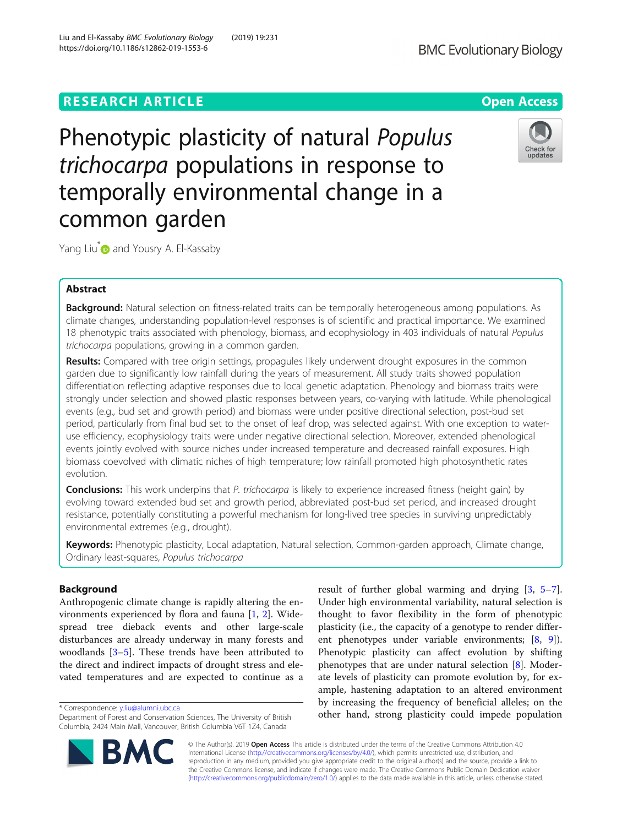# **RESEARCH ARTICLE Example 2014 CONSIDERING A RESEARCH ARTICLE**

Phenotypic plasticity of natural Populus trichocarpa populations in response to temporally environmental change in a common garden



Yang Liu<sup>[\\*](http://orcid.org/0000-0002-3479-9223)</sup> and Yousry A. El-Kassaby

## Abstract

Background: Natural selection on fitness-related traits can be temporally heterogeneous among populations. As climate changes, understanding population-level responses is of scientific and practical importance. We examined 18 phenotypic traits associated with phenology, biomass, and ecophysiology in 403 individuals of natural Populus trichocarpa populations, growing in a common garden.

Results: Compared with tree origin settings, propagules likely underwent drought exposures in the common garden due to significantly low rainfall during the years of measurement. All study traits showed population differentiation reflecting adaptive responses due to local genetic adaptation. Phenology and biomass traits were strongly under selection and showed plastic responses between years, co-varying with latitude. While phenological events (e.g., bud set and growth period) and biomass were under positive directional selection, post-bud set period, particularly from final bud set to the onset of leaf drop, was selected against. With one exception to wateruse efficiency, ecophysiology traits were under negative directional selection. Moreover, extended phenological events jointly evolved with source niches under increased temperature and decreased rainfall exposures. High biomass coevolved with climatic niches of high temperature; low rainfall promoted high photosynthetic rates evolution.

**Conclusions:** This work underpins that P. trichocarpa is likely to experience increased fitness (height gain) by evolving toward extended bud set and growth period, abbreviated post-bud set period, and increased drought resistance, potentially constituting a powerful mechanism for long-lived tree species in surviving unpredictably environmental extremes (e.g., drought).

Keywords: Phenotypic plasticity, Local adaptation, Natural selection, Common-garden approach, Climate change, Ordinary least-squares, Populus trichocarpa

## Background

Anthropogenic climate change is rapidly altering the environments experienced by flora and fauna [[1,](#page-13-0) [2](#page-13-0)]. Widespread tree dieback events and other large-scale disturbances are already underway in many forests and woodlands [[3](#page-13-0)–[5](#page-13-0)]. These trends have been attributed to the direct and indirect impacts of drought stress and elevated temperatures and are expected to continue as a

\* Correspondence: [y.liu@alumni.ubc.ca](mailto:y.liu@alumni.ubc.ca)

result of further global warming and drying [\[3](#page-13-0), [5](#page-13-0)–[7](#page-13-0)]. Under high environmental variability, natural selection is thought to favor flexibility in the form of phenotypic plasticity (i.e., the capacity of a genotype to render different phenotypes under variable environments; [[8,](#page-13-0) [9](#page-13-0)]). Phenotypic plasticity can affect evolution by shifting phenotypes that are under natural selection [[8\]](#page-13-0). Moderate levels of plasticity can promote evolution by, for example, hastening adaptation to an altered environment by increasing the frequency of beneficial alleles; on the other hand, strong plasticity could impede population



© The Author(s). 2019 Open Access This article is distributed under the terms of the Creative Commons Attribution 4.0 International License [\(http://creativecommons.org/licenses/by/4.0/](http://creativecommons.org/licenses/by/4.0/)), which permits unrestricted use, distribution, and reproduction in any medium, provided you give appropriate credit to the original author(s) and the source, provide a link to the Creative Commons license, and indicate if changes were made. The Creative Commons Public Domain Dedication waiver [\(http://creativecommons.org/publicdomain/zero/1.0/](http://creativecommons.org/publicdomain/zero/1.0/)) applies to the data made available in this article, unless otherwise stated.

Department of Forest and Conservation Sciences, The University of British Columbia, 2424 Main Mall, Vancouver, British Columbia V6T 1Z4, Canada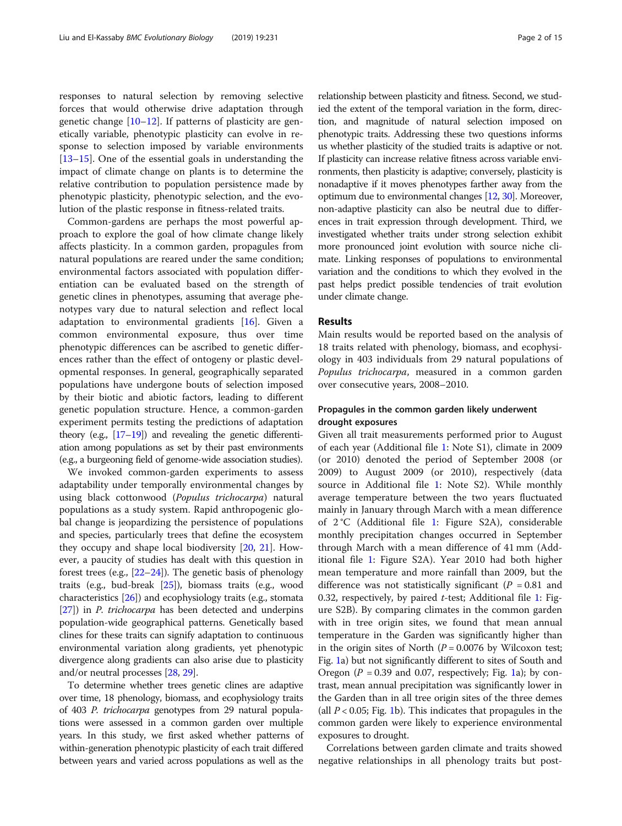responses to natural selection by removing selective forces that would otherwise drive adaptation through genetic change [[10](#page-13-0)–[12](#page-13-0)]. If patterns of plasticity are genetically variable, phenotypic plasticity can evolve in response to selection imposed by variable environments [[13](#page-13-0)–[15](#page-13-0)]. One of the essential goals in understanding the impact of climate change on plants is to determine the relative contribution to population persistence made by phenotypic plasticity, phenotypic selection, and the evolution of the plastic response in fitness-related traits.

Common-gardens are perhaps the most powerful approach to explore the goal of how climate change likely affects plasticity. In a common garden, propagules from natural populations are reared under the same condition; environmental factors associated with population differentiation can be evaluated based on the strength of genetic clines in phenotypes, assuming that average phenotypes vary due to natural selection and reflect local adaptation to environmental gradients  $[16]$  $[16]$ . Given a common environmental exposure, thus over time phenotypic differences can be ascribed to genetic differences rather than the effect of ontogeny or plastic developmental responses. In general, geographically separated populations have undergone bouts of selection imposed by their biotic and abiotic factors, leading to different genetic population structure. Hence, a common-garden experiment permits testing the predictions of adaptation theory (e.g., [[17](#page-13-0)–[19](#page-13-0)]) and revealing the genetic differentiation among populations as set by their past environments (e.g., a burgeoning field of genome-wide association studies).

We invoked common-garden experiments to assess adaptability under temporally environmental changes by using black cottonwood (Populus trichocarpa) natural populations as a study system. Rapid anthropogenic global change is jeopardizing the persistence of populations and species, particularly trees that define the ecosystem they occupy and shape local biodiversity [[20,](#page-13-0) [21](#page-13-0)]. However, a paucity of studies has dealt with this question in forest trees (e.g.,  $[22-24]$  $[22-24]$  $[22-24]$  $[22-24]$ ). The genetic basis of phenology traits (e.g., bud-break [[25](#page-13-0)]), biomass traits (e.g., wood characteristics [\[26](#page-13-0)]) and ecophysiology traits (e.g., stomata [[27](#page-13-0)]) in *P. trichocarpa* has been detected and underpins population-wide geographical patterns. Genetically based clines for these traits can signify adaptation to continuous environmental variation along gradients, yet phenotypic divergence along gradients can also arise due to plasticity and/or neutral processes [[28](#page-13-0), [29\]](#page-13-0).

To determine whether trees genetic clines are adaptive over time, 18 phenology, biomass, and ecophysiology traits of 403 P. trichocarpa genotypes from 29 natural populations were assessed in a common garden over multiple years. In this study, we first asked whether patterns of within-generation phenotypic plasticity of each trait differed between years and varied across populations as well as the

relationship between plasticity and fitness. Second, we studied the extent of the temporal variation in the form, direction, and magnitude of natural selection imposed on phenotypic traits. Addressing these two questions informs us whether plasticity of the studied traits is adaptive or not. If plasticity can increase relative fitness across variable environments, then plasticity is adaptive; conversely, plasticity is nonadaptive if it moves phenotypes farther away from the optimum due to environmental changes [\[12,](#page-13-0) [30](#page-13-0)]. Moreover, non-adaptive plasticity can also be neutral due to differences in trait expression through development. Third, we investigated whether traits under strong selection exhibit more pronounced joint evolution with source niche climate. Linking responses of populations to environmental variation and the conditions to which they evolved in the past helps predict possible tendencies of trait evolution under climate change.

## Results

Main results would be reported based on the analysis of 18 traits related with phenology, biomass, and ecophysiology in 403 individuals from 29 natural populations of Populus trichocarpa, measured in a common garden over consecutive years, 2008–2010.

## Propagules in the common garden likely underwent drought exposures

Given all trait measurements performed prior to August of each year (Additional file [1:](#page-12-0) Note S1), climate in 2009 (or 2010) denoted the period of September 2008 (or 2009) to August 2009 (or 2010), respectively (data source in Additional file [1](#page-12-0): Note S2). While monthly average temperature between the two years fluctuated mainly in January through March with a mean difference of 2 °C (Additional file [1](#page-12-0): Figure S2A), considerable monthly precipitation changes occurred in September through March with a mean difference of 41 mm (Additional file [1](#page-12-0): Figure S2A). Year 2010 had both higher mean temperature and more rainfall than 2009, but the difference was not statistically significant ( $P = 0.81$  and 0.32, respectively, by paired *t*-test; Additional file [1:](#page-12-0) Figure S2B). By comparing climates in the common garden with in tree origin sites, we found that mean annual temperature in the Garden was significantly higher than in the origin sites of North  $(P = 0.0076$  by Wilcoxon test; Fig. [1](#page-2-0)a) but not significantly different to sites of South and Oregon ( $P = 0.39$  and 0.07, respectively; Fig. [1](#page-2-0)a); by contrast, mean annual precipitation was significantly lower in the Garden than in all tree origin sites of the three demes (all  $P < 0.05$ ; Fig. [1](#page-2-0)b). This indicates that propagules in the common garden were likely to experience environmental exposures to drought.

Correlations between garden climate and traits showed negative relationships in all phenology traits but post-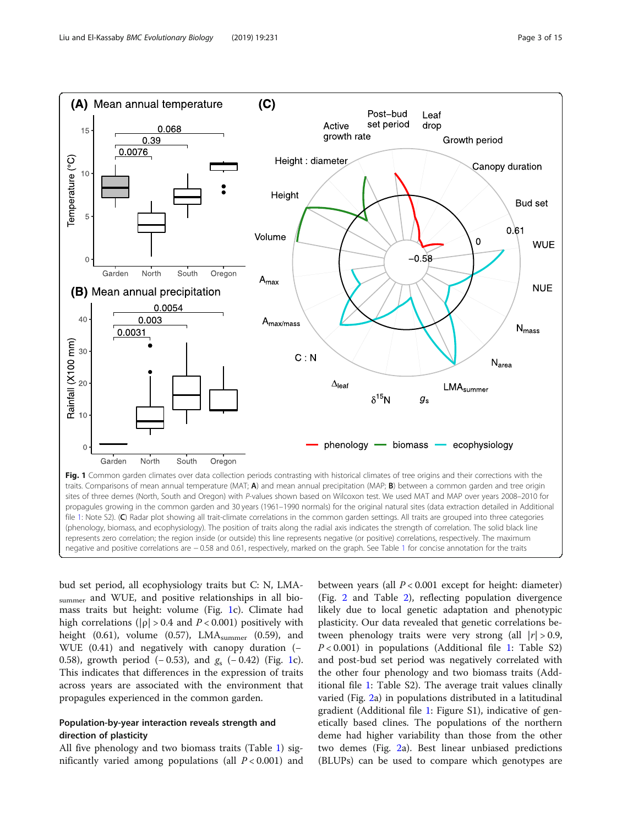<span id="page-2-0"></span>

file [1](#page-12-0): Note S2). (C) Radar plot showing all trait-climate correlations in the common garden settings. All traits are grouped into three categories (phenology, biomass, and ecophysiology). The position of traits along the radial axis indicates the strength of correlation. The solid black line represents zero correlation; the region inside (or outside) this line represents negative (or positive) correlations, respectively. The maximum negative and positive correlations are − 0.58 and 0.61, respectively, marked on the graph. See Table [1](#page-3-0) for concise annotation for the traits

bud set period, all ecophysiology traits but C: N, LMAsummer and WUE, and positive relationships in all biomass traits but height: volume (Fig. 1c). Climate had high correlations ( $|\rho| > 0.4$  and  $P < 0.001$ ) positively with height  $(0.61)$ , volume  $(0.57)$ , LMA<sub>summer</sub>  $(0.59)$ , and WUE (0.41) and negatively with canopy duration (-0.58), growth period (− 0.53), and  $g_s$  (− 0.42) (Fig. 1c). This indicates that differences in the expression of traits across years are associated with the environment that propagules experienced in the common garden.

## Population-by-year interaction reveals strength and direction of plasticity

All five phenology and two biomass traits (Table [1](#page-3-0)) significantly varied among populations (all  $P < 0.001$ ) and

between years (all  $P < 0.001$  except for height: diameter) (Fig. [2](#page-4-0) and Table [2](#page-5-0)), reflecting population divergence likely due to local genetic adaptation and phenotypic plasticity. Our data revealed that genetic correlations between phenology traits were very strong (all  $|r| > 0.9$ ,  $P < 0.001$ ) in populations (Additional file [1:](#page-12-0) Table S2) and post-bud set period was negatively correlated with the other four phenology and two biomass traits (Additional file [1](#page-12-0): Table S2). The average trait values clinally varied (Fig. [2](#page-4-0)a) in populations distributed in a latitudinal gradient (Additional file [1](#page-12-0): Figure S1), indicative of genetically based clines. The populations of the northern deme had higher variability than those from the other two demes (Fig. [2a](#page-4-0)). Best linear unbiased predictions (BLUPs) can be used to compare which genotypes are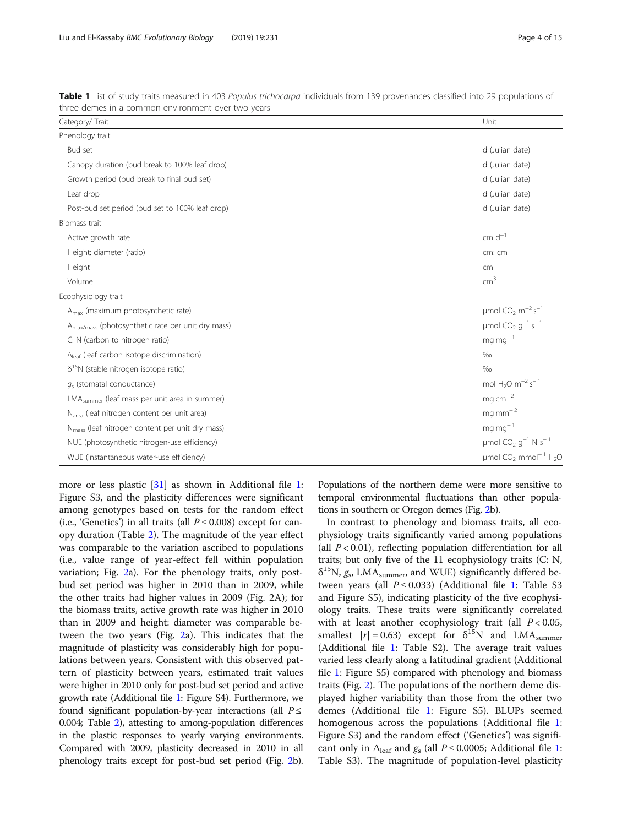| Category/Trait                                                | Unit                                                          |
|---------------------------------------------------------------|---------------------------------------------------------------|
| Phenology trait                                               |                                                               |
| Bud set                                                       | d (Julian date)                                               |
| Canopy duration (bud break to 100% leaf drop)                 | d (Julian date)                                               |
| Growth period (bud break to final bud set)                    | d (Julian date)                                               |
| Leaf drop                                                     | d (Julian date)                                               |
| Post-bud set period (bud set to 100% leaf drop)               | d (Julian date)                                               |
| Biomass trait                                                 |                                                               |
| Active growth rate                                            | cm $d^{-1}$                                                   |
| Height: diameter (ratio)                                      | cm: cm                                                        |
| Height                                                        | cm                                                            |
| Volume                                                        | cm <sup>3</sup>                                               |
| Ecophysiology trait                                           |                                                               |
| $A_{\text{max}}$ (maximum photosynthetic rate)                | $\mu$ mol CO <sub>2</sub> m <sup>-2</sup> s <sup>-1</sup>     |
| A <sub>max/mass</sub> (photosynthetic rate per unit dry mass) | $\mu$ mol CO <sub>2</sub> g <sup>-1</sup> s <sup>-1</sup>     |
| C: N (carbon to nitrogen ratio)                               | $mg \, mg^{-1}$                                               |
| $\Delta_{\text{leaf}}$ (leaf carbon isotope discrimination)   | $\%$                                                          |
| $\delta^{15}$ N (stable nitrogen isotope ratio)               | $\%$                                                          |
| $qs$ (stomatal conductance)                                   | mol H <sub>2</sub> O m <sup>-2</sup> s <sup>-1</sup>          |
| LMA <sub>summer</sub> (leaf mass per unit area in summer)     | $mg cm^{-2}$                                                  |
| N <sub>area</sub> (leaf nitrogen content per unit area)       | $mg$ mm <sup><math>-2</math></sup>                            |
| N <sub>mass</sub> (leaf nitrogen content per unit dry mass)   | $mg \, mg^{-1}$                                               |
| NUE (photosynthetic nitrogen-use efficiency)                  | $\mu$ mol CO <sub>2</sub> g <sup>-1</sup> N s <sup>-1</sup>   |
| WUE (instantaneous water-use efficiency)                      | $\mu$ mol CO <sub>2</sub> mmol <sup>-1</sup> H <sub>2</sub> O |

<span id="page-3-0"></span>Table 1 List of study traits measured in 403 Populus trichocarpa individuals from 139 provenances classified into 29 populations of three demes in a common environment over two years

more or less plastic [\[31](#page-13-0)] as shown in Additional file [1](#page-12-0): Figure S3, and the plasticity differences were significant among genotypes based on tests for the random effect (i.e., 'Genetics') in all traits (all  $P \le 0.008$ ) except for canopy duration (Table [2\)](#page-5-0). The magnitude of the year effect was comparable to the variation ascribed to populations (i.e., value range of year-effect fell within population variation; Fig. [2](#page-4-0)a). For the phenology traits, only postbud set period was higher in 2010 than in 2009, while the other traits had higher values in 2009 (Fig. 2A); for the biomass traits, active growth rate was higher in 2010 than in 2009 and height: diameter was comparable between the two years (Fig. [2a](#page-4-0)). This indicates that the magnitude of plasticity was considerably high for populations between years. Consistent with this observed pattern of plasticity between years, estimated trait values were higher in 2010 only for post-bud set period and active growth rate (Additional file [1](#page-12-0): Figure S4). Furthermore, we found significant population-by-year interactions (all  $P \leq$ 0.004; Table [2](#page-5-0)), attesting to among-population differences in the plastic responses to yearly varying environments. Compared with 2009, plasticity decreased in 2010 in all phenology traits except for post-bud set period (Fig. [2b](#page-4-0)). Populations of the northern deme were more sensitive to temporal environmental fluctuations than other populations in southern or Oregon demes (Fig. [2](#page-4-0)b).

In contrast to phenology and biomass traits, all ecophysiology traits significantly varied among populations (all  $P < 0.01$ ), reflecting population differentiation for all traits; but only five of the 11 ecophysiology traits (C: N,  $\delta^{15}$ N,  $g_s$ , LMA<sub>summer</sub>, and WUE) significantly differed between years (all  $P \le 0.033$ ) (Additional file [1](#page-12-0): Table S3 and Figure S5), indicating plasticity of the five ecophysiology traits. These traits were significantly correlated with at least another ecophysiology trait (all  $P < 0.05$ , smallest  $|r| = 0.63$ ) except for  $\delta^{15}N$  and LMA<sub>summer</sub> (Additional file [1:](#page-12-0) Table S2). The average trait values varied less clearly along a latitudinal gradient (Additional file [1](#page-12-0): Figure S5) compared with phenology and biomass traits (Fig. [2\)](#page-4-0). The populations of the northern deme displayed higher variability than those from the other two demes (Additional file [1:](#page-12-0) Figure S5). BLUPs seemed homogenous across the populations (Additional file [1](#page-12-0): Figure S3) and the random effect ('Genetics') was significant only in  $\Delta_{\text{leaf}}$  and  $g_s$  (all  $P \le 0.0005$ ; Additional file [1](#page-12-0): Table S3). The magnitude of population-level plasticity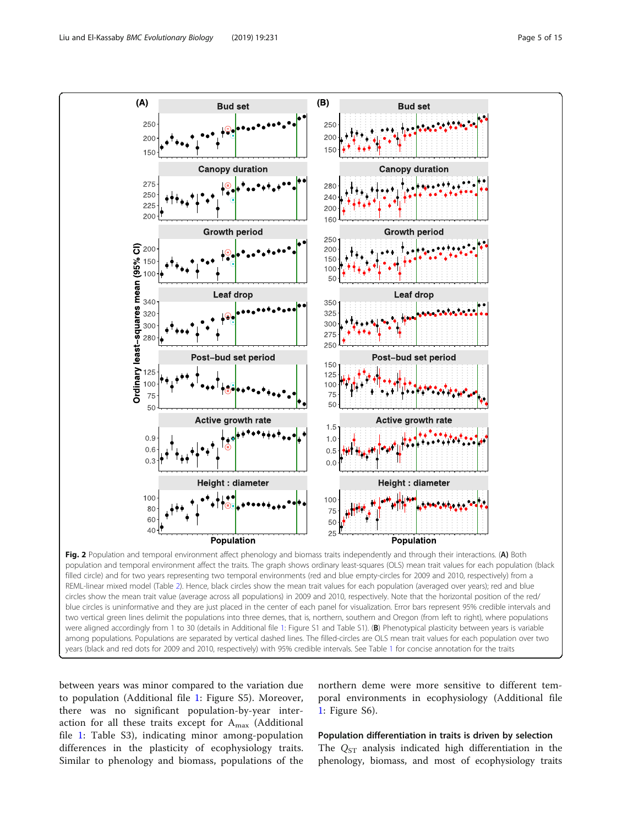<span id="page-4-0"></span>

filled circle) and for two years representing two temporal environments (red and blue empty-circles for 2009 and 2010, respectively) from a REML-linear mixed model (Table [2](#page-5-0)). Hence, black circles show the mean trait values for each population (averaged over years); red and blue circles show the mean trait value (average across all populations) in 2009 and 2010, respectively. Note that the horizontal position of the red/ blue circles is uninformative and they are just placed in the center of each panel for visualization. Error bars represent 95% credible intervals and two vertical green lines delimit the populations into three demes, that is, northern, southern and Oregon (from left to right), where populations were aligned accordingly from 1 to 30 (details in Additional file [1:](#page-12-0) Figure S1 and Table S1). (B) Phenotypical plasticity between years is variable among populations. Populations are separated by vertical dashed lines. The filled-circles are OLS mean trait values for each population over two years (black and red dots for 2009 and 2010, respectively) with 95% credible intervals. See Table [1](#page-3-0) for concise annotation for the traits

between years was minor compared to the variation due to population (Additional file [1](#page-12-0): Figure S5). Moreover, there was no significant population-by-year interaction for all these traits except for  $A_{\text{max}}$  (Additional file [1:](#page-12-0) Table S3), indicating minor among-population differences in the plasticity of ecophysiology traits. Similar to phenology and biomass, populations of the northern deme were more sensitive to different temporal environments in ecophysiology (Additional file [1:](#page-12-0) Figure S6).

## Population differentiation in traits is driven by selection

The  $Q_{ST}$  analysis indicated high differentiation in the phenology, biomass, and most of ecophysiology traits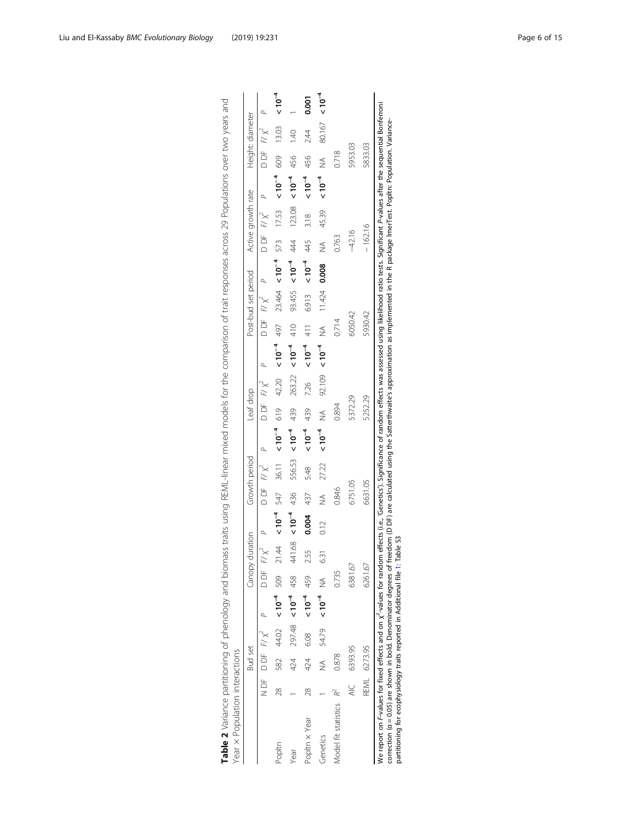|                      |               | <b>Bud</b> set |                                 |                                 |         | Canopy duration    |                      |         | Growth period        |                                                                            | Leaf drop |                     |                    |                | Post-bud set period |                    |           | Active growth rate |               |         | Height: diameter |             |
|----------------------|---------------|----------------|---------------------------------|---------------------------------|---------|--------------------|----------------------|---------|----------------------|----------------------------------------------------------------------------|-----------|---------------------|--------------------|----------------|---------------------|--------------------|-----------|--------------------|---------------|---------|------------------|-------------|
|                      |               |                | NDF DDF F/X <sup>2</sup> P      |                                 |         | DDF $F/\chi^2$ $P$ |                      |         | $DDF$ $F/\chi^2$ $P$ |                                                                            |           | $DF$ $F/\chi^2$ $P$ |                    |                | DDF $F/\chi^2$ $P$  |                    |           | DDF $FX^2$ $P$     |               |         | $DDF F/X^2 P$    |             |
| Popltn               | 28            |                | 582 44.02 <10 <sup>-4</sup> 509 |                                 |         |                    | $21.44$ < $10^{-4}$  | 547     |                      | $36.11$ < $10^{-4}$ 619 42.20 < $10^{-4}$ 497 23.464 < $10^{-4}$ 573 17.53 |           |                     |                    |                |                     |                    |           |                    | $10^{-4}$     | 609     | 13.03            | $10^{-4}$   |
| Year                 |               | 424            |                                 | $297.48$ < 10 <sup>-4</sup> 458 |         |                    | $441.68$ < $10^{-4}$ | 436     | 556.53               | $\frac{4}{5}$                                                              | 439       | 263.22              | $\frac{1}{2}$      | $-410$         |                     | $93.455 < 10^{-4}$ | 44        | 123.08             | $\frac{4}{5}$ | 456     | $rac{4}{3}$      |             |
| Popltn x Year        | $\frac{8}{2}$ | 424            | 6.08                            | $\frac{4}{5}$                   | 459     | 2.55               | 0.004                | 437     | 5.48                 | $\frac{4}{5}$                                                              | 439       | 7.26                | $10^{-4}$          | $\frac{11}{4}$ | 6.913               | $\frac{4}{5}$      | 45        | 3.18               | $\frac{4}{5}$ | 456     | 24               | 0.001       |
| Genetics             |               | $\leq$         | 54.79                           | $\times 10^{-4}$ NA             |         | 6.31               | 0.12                 | ⋚       | 27.22                | $< 10^{-4}$                                                                | $\leq$    |                     | $92.109 < 10^{-4}$ | $\not\leq$     | 11.424              | 0.008              | ≸         | 45.39              | $10^{-4}$     | ≸       | 80.167           | $< 10^{-4}$ |
| Model fit statistics |               | 0.878          |                                 |                                 | 0.735   |                    |                      | 0.846   |                      |                                                                            | 0.894     |                     |                    | 0.714          |                     |                    | 0.763     |                    |               | 0.718   |                  |             |
|                      | AIC<br><      | 6393.95        |                                 |                                 | 6381.67 |                    |                      | 6751.05 |                      |                                                                            | 5372.29   |                     |                    | 6050.42        |                     |                    | $-42.16$  |                    |               | 5953.03 |                  |             |
|                      |               | REML 6273.95   |                                 |                                 | 6261.67 |                    |                      | 6631.05 |                      |                                                                            | 5252.29   |                     |                    | 5930.42        |                     |                    | $-162.16$ |                    |               | 5833.03 |                  |             |

Table 2 Variance partitioning of phenology and biomass traits using REML-linear mixed models for the comparison of trait responses across 29 Populations over two years and

<span id="page-5-0"></span>Table 2 Variance partitioning of phenology and biomass traits using REML-linear mixed models for the comparison of trait responses across 29 Populations over two years and

correction (a = 0.05) are shown in bold. Denominator degrees of freedom (<br>partitioning for ecophysiology traits reported in Additional file 1: Table S3 partitioning for ecophysiology traits reported in Additional file [1](#page-12-0): Table S3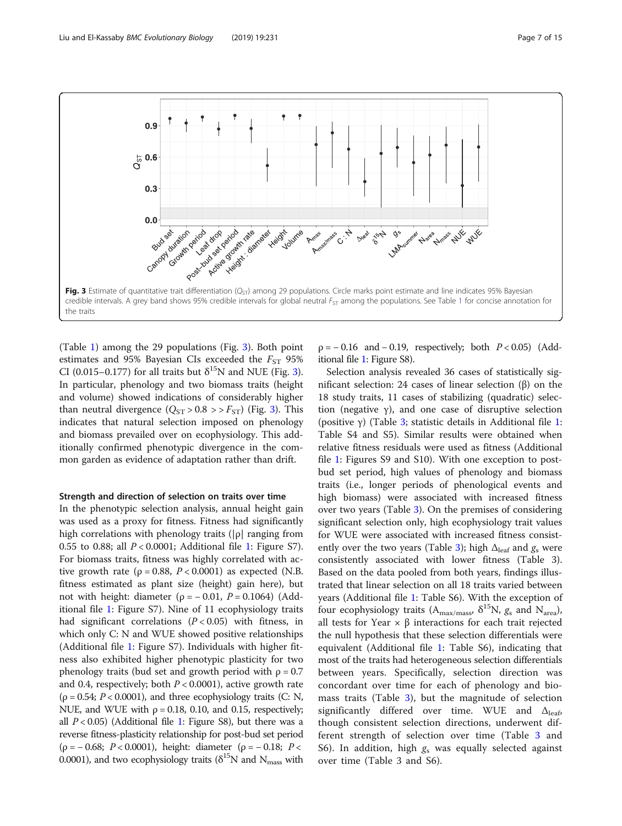<span id="page-6-0"></span>

(Table [1](#page-3-0)) among the 29 populations (Fig. 3). Both point estimates and 95% Bayesian CIs exceeded the  $F_{ST}$  95% CI (0.015–0.177) for all traits but  $\delta^{15}$ N and NUE (Fig. 3). In particular, phenology and two biomass traits (height and volume) showed indications of considerably higher than neutral divergence  $(Q_{ST} > 0.8 > F_{ST})$  (Fig. 3). This indicates that natural selection imposed on phenology and biomass prevailed over on ecophysiology. This additionally confirmed phenotypic divergence in the common garden as evidence of adaptation rather than drift.

#### Strength and direction of selection on traits over time

In the phenotypic selection analysis, annual height gain was used as a proxy for fitness. Fitness had significantly high correlations with phenology traits (|ρ| ranging from 0.55 to 0.88; all  $P < 0.0001$  $P < 0.0001$ ; Additional file 1: Figure S7). For biomass traits, fitness was highly correlated with active growth rate ( $\rho = 0.88$ ,  $P < 0.0001$ ) as expected (N.B. fitness estimated as plant size (height) gain here), but not with height: diameter ( $\rho = -0.01$ ,  $P = 0.1064$ ) (Additional file [1:](#page-12-0) Figure S7). Nine of 11 ecophysiology traits had significant correlations  $(P < 0.05)$  with fitness, in which only C: N and WUE showed positive relationships (Additional file [1:](#page-12-0) Figure S7). Individuals with higher fitness also exhibited higher phenotypic plasticity for two phenology traits (bud set and growth period with  $\rho = 0.7$ and 0.4, respectively; both  $P < 0.0001$ ), active growth rate ( $\rho$  = 0.54; *P* < 0.0001), and three ecophysiology traits (C: N, NUE, and WUE with  $\rho = 0.18, 0.10,$  and 0.15, respectively; all  $P < 0.05$ ) (Additional file [1:](#page-12-0) Figure S8), but there was a reverse fitness-plasticity relationship for post-bud set period ( $\rho = -0.68$ ;  $P < 0.0001$ ), height: diameter ( $\rho = -0.18$ ;  $P <$ 0.0001), and two ecophysiology traits ( $\delta^{15}$ N and N<sub>mass</sub> with  $p = -0.16$  and  $-0.19$ , respectively; both  $P < 0.05$ ) (Additional file [1:](#page-12-0) Figure S8).

Selection analysis revealed 36 cases of statistically significant selection: 24 cases of linear selection (β) on the 18 study traits, 11 cases of stabilizing (quadratic) selection (negative  $\gamma$ ), and one case of disruptive selection (positive γ) (Table [3](#page-7-0); statistic details in Additional file [1](#page-12-0): Table S4 and S5). Similar results were obtained when relative fitness residuals were used as fitness (Additional file [1:](#page-12-0) Figures S9 and S10). With one exception to postbud set period, high values of phenology and biomass traits (i.e., longer periods of phenological events and high biomass) were associated with increased fitness over two years (Table [3](#page-7-0)). On the premises of considering significant selection only, high ecophysiology trait values for WUE were associated with increased fitness consist-ently over the two years (Table [3](#page-7-0)); high  $\Delta_{\text{leaf}}$  and  $g_s$  were consistently associated with lower fitness (Table 3). Based on the data pooled from both years, findings illustrated that linear selection on all 18 traits varied between years (Additional file [1](#page-12-0): Table S6). With the exception of four ecophysiology traits ( $A_{\rm max/mass}$ ,  $\delta^{15}N$ ,  $g_s$  and  $N_{\rm area}$ ), all tests for Year  $\times$  β interactions for each trait rejected the null hypothesis that these selection differentials were equivalent (Additional file [1:](#page-12-0) Table S6), indicating that most of the traits had heterogeneous selection differentials between years. Specifically, selection direction was concordant over time for each of phenology and biomass traits (Table  $3$ ), but the magnitude of selection significantly differed over time. WUE and  $\Delta_{\text{leaf}}$ , though consistent selection directions, underwent different strength of selection over time (Table [3](#page-7-0) and S6). In addition, high  $g_s$  was equally selected against over time (Table 3 and S6).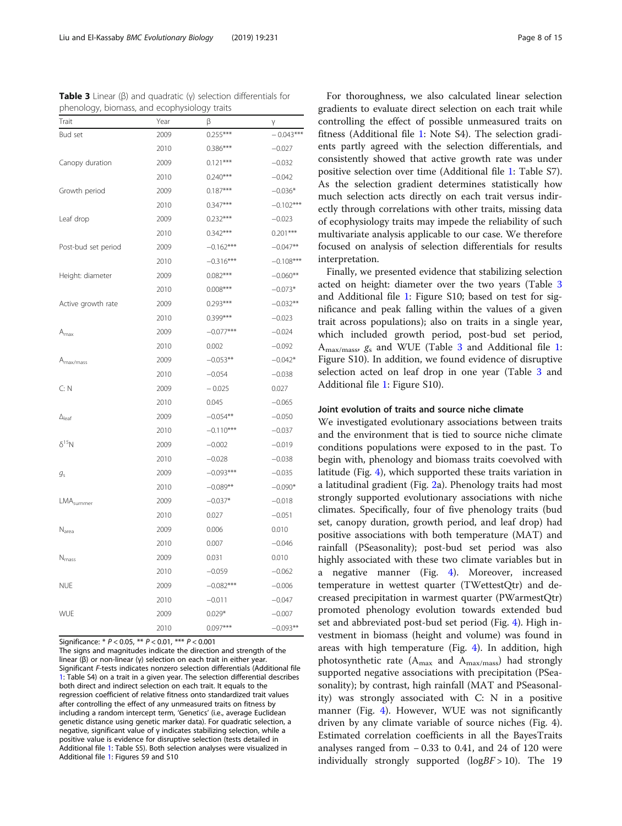| Trait                  | Year | β           | γ           |
|------------------------|------|-------------|-------------|
| Bud set                | 2009 | $0.255***$  | $-0.043***$ |
|                        | 2010 | $0.386***$  | $-0.027$    |
| Canopy duration        | 2009 | $0.121***$  | $-0.032$    |
|                        | 2010 | $0.240***$  | $-0.042$    |
| Growth period          | 2009 | $0.187***$  | $-0.036*$   |
|                        | 2010 | $0.347***$  | $-0.102***$ |
| Leaf drop              | 2009 | $0.232***$  | $-0.023$    |
|                        | 2010 | $0.342***$  | $0.201***$  |
| Post-bud set period    | 2009 | $-0.162***$ | $-0.047**$  |
|                        | 2010 | $-0.316***$ | $-0.108***$ |
| Height: diameter       | 2009 | $0.082***$  | $-0.060**$  |
|                        | 2010 | $0.008***$  | $-0.073*$   |
| Active growth rate     | 2009 | $0.293***$  | $-0.032**$  |
|                        | 2010 | $0.399***$  | $-0.023$    |
| $A_{max}$              | 2009 | $-0.077***$ | $-0.024$    |
|                        | 2010 | 0.002       | $-0.092$    |
| A <sub>max/mass</sub>  | 2009 | $-0.053**$  | $-0.042*$   |
|                        | 2010 | $-0.054$    | $-0.038$    |
| C: N                   | 2009 | $-0.025$    | 0.027       |
|                        | 2010 | 0.045       | $-0.065$    |
| $\Delta_{\text{leaf}}$ | 2009 | $-0.054**$  | $-0.050$    |
|                        | 2010 | $-0.110***$ | $-0.037$    |
| $\delta^{15}$ N        | 2009 | $-0.002$    | $-0.019$    |
|                        | 2010 | $-0.028$    | $-0.038$    |
| $g_{\rm s}$            | 2009 | $-0.093***$ | $-0.035$    |
|                        | 2010 | $-0.089**$  | $-0.090*$   |
| LMA <sub>sumer</sub>   | 2009 | $-0.037*$   | $-0.018$    |
|                        | 2010 | 0.027       | $-0.051$    |
| $\rm N_{\rm area}$     | 2009 | 0.006       | 0.010       |
|                        | 2010 | 0.007       | $-0.046$    |
| $N_{mass}$             | 2009 | 0.031       | 0.010       |
|                        | 2010 | $-0.059$    | $-0.062$    |
| <b>NUE</b>             | 2009 | $-0.082***$ | $-0.006$    |
|                        | 2010 | $-0.011$    | $-0.047$    |
| WUE                    | 2009 | $0.029*$    | $-0.007$    |
|                        | 2010 | $0.097***$  | $-0.093**$  |

<span id="page-7-0"></span>**Table 3** Linear ( $\beta$ ) and quadratic ( $\gamma$ ) selection differentials for phenology, biomass, and ecophysiology traits

Significance: \* P < 0.05, \*\* P < 0.01, \*\*\* P < 0.001

The signs and magnitudes indicate the direction and strength of the linear (β) or non-linear (γ) selection on each trait in either year. Significant F-tests indicates nonzero selection differentials (Additional file [1:](#page-12-0) Table S4) on a trait in a given year. The selection differential describes both direct and indirect selection on each trait. It equals to the regression coefficient of relative fitness onto standardized trait values after controlling the effect of any unmeasured traits on fitness by including a random intercept term, 'Genetics' (i.e., average Euclidean genetic distance using genetic marker data). For quadratic selection, a negative, significant value of γ indicates stabilizing selection, while a positive value is evidence for disruptive selection (tests detailed in Additional file [1:](#page-12-0) Table S5). Both selection analyses were visualized in Additional file [1:](#page-12-0) Figures S9 and S10

For thoroughness, we also calculated linear selection gradients to evaluate direct selection on each trait while controlling the effect of possible unmeasured traits on fitness (Additional file [1:](#page-12-0) Note S4). The selection gradients partly agreed with the selection differentials, and consistently showed that active growth rate was under positive selection over time (Additional file [1](#page-12-0): Table S7). As the selection gradient determines statistically how much selection acts directly on each trait versus indirectly through correlations with other traits, missing data of ecophysiology traits may impede the reliability of such multivariate analysis applicable to our case. We therefore focused on analysis of selection differentials for results interpretation.

Finally, we presented evidence that stabilizing selection acted on height: diameter over the two years (Table 3 and Additional file [1:](#page-12-0) Figure S10; based on test for significance and peak falling within the values of a given trait across populations); also on traits in a single year, which included growth period, post-bud set period, Amax/mass, <sup>g</sup><sup>s</sup> and WUE (Table <sup>3</sup> and Additional file [1](#page-12-0): Figure S10). In addition, we found evidence of disruptive selection acted on leaf drop in one year (Table 3 and Additional file [1](#page-12-0): Figure S10).

#### Joint evolution of traits and source niche climate

We investigated evolutionary associations between traits and the environment that is tied to source niche climate conditions populations were exposed to in the past. To begin with, phenology and biomass traits coevolved with latitude (Fig. [4](#page-8-0)), which supported these traits variation in a latitudinal gradient (Fig. [2a](#page-4-0)). Phenology traits had most strongly supported evolutionary associations with niche climates. Specifically, four of five phenology traits (bud set, canopy duration, growth period, and leaf drop) had positive associations with both temperature (MAT) and rainfall (PSeasonality); post-bud set period was also highly associated with these two climate variables but in a negative manner (Fig. [4](#page-8-0)). Moreover, increased temperature in wettest quarter (TWettestQtr) and decreased precipitation in warmest quarter (PWarmestQtr) promoted phenology evolution towards extended bud set and abbreviated post-bud set period (Fig. [4\)](#page-8-0). High investment in biomass (height and volume) was found in areas with high temperature (Fig. [4\)](#page-8-0). In addition, high photosynthetic rate ( $A_{\text{max}}$  and  $A_{\text{max/mass}}$ ) had strongly supported negative associations with precipitation (PSeasonality); by contrast, high rainfall (MAT and PSeasonality) was strongly associated with C: N in a positive manner (Fig. [4](#page-8-0)). However, WUE was not significantly driven by any climate variable of source niches (Fig. 4). Estimated correlation coefficients in all the BayesTraits analyses ranged from  $-0.33$  to 0.41, and 24 of 120 were individually strongly supported ( $logBF > 10$ ). The 19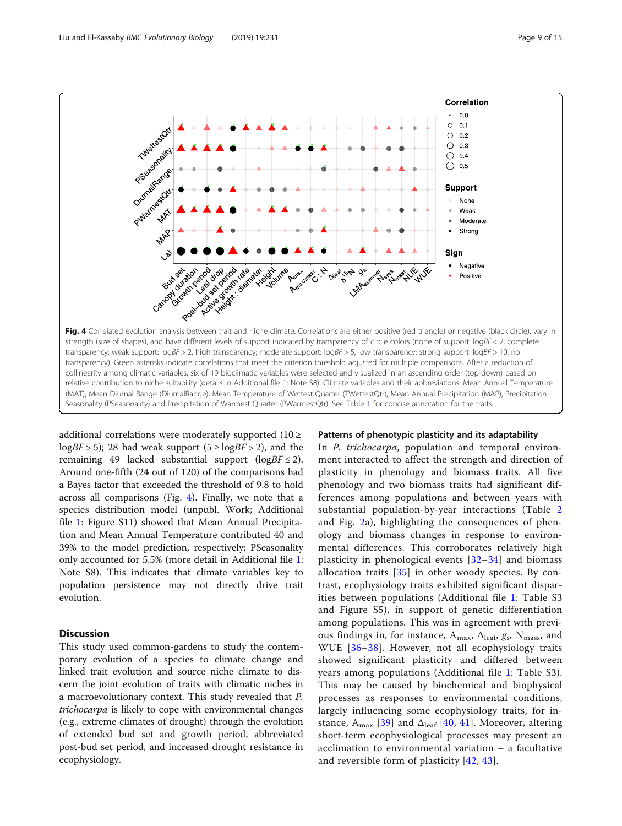<span id="page-8-0"></span>

additional correlations were moderately supported (10  $\ge$  $logBF > 5$ ; 28 had weak support ( $5 \ge logBF > 2$ ), and the remaining 49 lacked substantial support ( $logBF \le 2$ ). Around one-fifth (24 out of 120) of the comparisons had a Bayes factor that exceeded the threshold of 9.8 to hold across all comparisons (Fig. 4). Finally, we note that a species distribution model (unpubl. Work; Additional file [1:](#page-12-0) Figure S11) showed that Mean Annual Precipitation and Mean Annual Temperature contributed 40 and 39% to the model prediction, respectively; PSeasonality only accounted for 5.5% (more detail in Additional file [1](#page-12-0): Note S8). This indicates that climate variables key to population persistence may not directly drive trait evolution.

## **Discussion**

This study used common-gardens to study the contemporary evolution of a species to climate change and linked trait evolution and source niche climate to discern the joint evolution of traits with climatic niches in a macroevolutionary context. This study revealed that P. trichocarpa is likely to cope with environmental changes (e.g., extreme climates of drought) through the evolution of extended bud set and growth period, abbreviated post-bud set period, and increased drought resistance in ecophysiology.

## Patterns of phenotypic plasticity and its adaptability

In *P. trichocarpa*, population and temporal environment interacted to affect the strength and direction of plasticity in phenology and biomass traits. All five phenology and two biomass traits had significant differences among populations and between years with substantial population-by-year interactions (Table [2](#page-5-0) and Fig. [2a](#page-4-0)), highlighting the consequences of phenology and biomass changes in response to environmental differences. This corroborates relatively high plasticity in phenological events  $[32-34]$  $[32-34]$  $[32-34]$  $[32-34]$  and biomass allocation traits [[35\]](#page-13-0) in other woody species. By contrast, ecophysiology traits exhibited significant disparities between populations (Additional file [1](#page-12-0): Table S3 and Figure S5), in support of genetic differentiation among populations. This was in agreement with previous findings in, for instance,  $A_{\text{max}}$ ,  $\Delta_{\text{leaf}}$ ,  $g_s$ ,  $N_{\text{mass}}$ , and WUE [[36](#page-13-0)–[38\]](#page-14-0). However, not all ecophysiology traits showed significant plasticity and differed between years among populations (Additional file [1](#page-12-0): Table S3). This may be caused by biochemical and biophysical processes as responses to environmental conditions, largely influencing some ecophysiology traits, for instance,  $A_{\text{max}}$  [\[39](#page-14-0)] and  $\Delta_{\text{leaf}}$  [[40,](#page-14-0) [41](#page-14-0)]. Moreover, altering short-term ecophysiological processes may present an acclimation to environmental variation – a facultative and reversible form of plasticity [\[42,](#page-14-0) [43](#page-14-0)].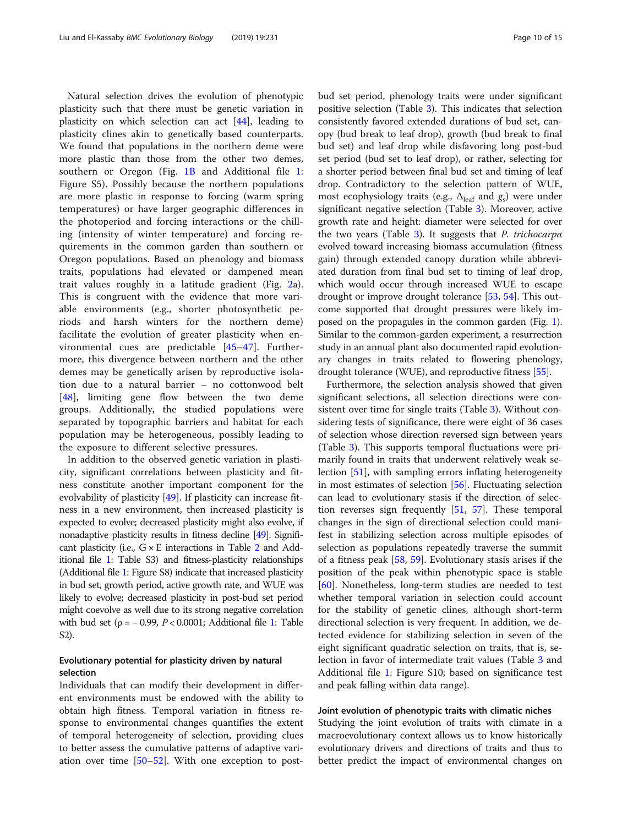Natural selection drives the evolution of phenotypic plasticity such that there must be genetic variation in plasticity on which selection can act [[44](#page-14-0)], leading to plasticity clines akin to genetically based counterparts. We found that populations in the northern deme were more plastic than those from the other two demes, southern or Oregon (Fig. [1B](#page-2-0) and Additional file [1](#page-12-0): Figure S5). Possibly because the northern populations are more plastic in response to forcing (warm spring temperatures) or have larger geographic differences in the photoperiod and forcing interactions or the chilling (intensity of winter temperature) and forcing requirements in the common garden than southern or Oregon populations. Based on phenology and biomass traits, populations had elevated or dampened mean trait values roughly in a latitude gradient (Fig. [2a](#page-4-0)). This is congruent with the evidence that more variable environments (e.g., shorter photosynthetic periods and harsh winters for the northern deme) facilitate the evolution of greater plasticity when environmental cues are predictable [[45](#page-14-0)–[47\]](#page-14-0). Furthermore, this divergence between northern and the other demes may be genetically arisen by reproductive isolation due to a natural barrier – no cottonwood belt [[48\]](#page-14-0), limiting gene flow between the two deme groups. Additionally, the studied populations were separated by topographic barriers and habitat for each population may be heterogeneous, possibly leading to the exposure to different selective pressures.

In addition to the observed genetic variation in plasticity, significant correlations between plasticity and fitness constitute another important component for the evolvability of plasticity [[49\]](#page-14-0). If plasticity can increase fitness in a new environment, then increased plasticity is expected to evolve; decreased plasticity might also evolve, if nonadaptive plasticity results in fitness decline [\[49\]](#page-14-0). Significant plasticity (i.e.,  $G \times E$  interactions in Table [2](#page-5-0) and Additional file [1](#page-12-0): Table S3) and fitness-plasticity relationships (Additional file [1](#page-12-0): Figure S8) indicate that increased plasticity in bud set, growth period, active growth rate, and WUE was likely to evolve; decreased plasticity in post-bud set period might coevolve as well due to its strong negative correlation with bud set ( $\rho = -0.99$ ,  $P < 0.0001$  $P < 0.0001$ ; Additional file 1: Table S2).

## Evolutionary potential for plasticity driven by natural selection

Individuals that can modify their development in different environments must be endowed with the ability to obtain high fitness. Temporal variation in fitness response to environmental changes quantifies the extent of temporal heterogeneity of selection, providing clues to better assess the cumulative patterns of adaptive variation over time  $[50-52]$  $[50-52]$  $[50-52]$  $[50-52]$ . With one exception to postbud set period, phenology traits were under significant positive selection (Table [3](#page-7-0)). This indicates that selection consistently favored extended durations of bud set, canopy (bud break to leaf drop), growth (bud break to final bud set) and leaf drop while disfavoring long post-bud set period (bud set to leaf drop), or rather, selecting for a shorter period between final bud set and timing of leaf drop. Contradictory to the selection pattern of WUE, most ecophysiology traits (e.g.,  $\Delta_{\text{leaf}}$  and  $g_s$ ) were under significant negative selection (Table [3\)](#page-7-0). Moreover, active growth rate and height: diameter were selected for over the two years (Table [3](#page-7-0)). It suggests that P. trichocarpa evolved toward increasing biomass accumulation (fitness gain) through extended canopy duration while abbreviated duration from final bud set to timing of leaf drop, which would occur through increased WUE to escape drought or improve drought tolerance [\[53](#page-14-0), [54](#page-14-0)]. This outcome supported that drought pressures were likely imposed on the propagules in the common garden (Fig. [1](#page-2-0)). Similar to the common-garden experiment, a resurrection study in an annual plant also documented rapid evolutionary changes in traits related to flowering phenology, drought tolerance (WUE), and reproductive fitness [\[55](#page-14-0)].

Furthermore, the selection analysis showed that given significant selections, all selection directions were consistent over time for single traits (Table [3](#page-7-0)). Without considering tests of significance, there were eight of 36 cases of selection whose direction reversed sign between years (Table [3](#page-7-0)). This supports temporal fluctuations were primarily found in traits that underwent relatively weak selection [[51\]](#page-14-0), with sampling errors inflating heterogeneity in most estimates of selection [[56\]](#page-14-0). Fluctuating selection can lead to evolutionary stasis if the direction of selection reverses sign frequently [\[51,](#page-14-0) [57\]](#page-14-0). These temporal changes in the sign of directional selection could manifest in stabilizing selection across multiple episodes of selection as populations repeatedly traverse the summit of a fitness peak [\[58,](#page-14-0) [59](#page-14-0)]. Evolutionary stasis arises if the position of the peak within phenotypic space is stable [[60\]](#page-14-0). Nonetheless, long-term studies are needed to test whether temporal variation in selection could account for the stability of genetic clines, although short-term directional selection is very frequent. In addition, we detected evidence for stabilizing selection in seven of the eight significant quadratic selection on traits, that is, selection in favor of intermediate trait values (Table [3](#page-7-0) and Additional file [1](#page-12-0): Figure S10; based on significance test and peak falling within data range).

## Joint evolution of phenotypic traits with climatic niches

Studying the joint evolution of traits with climate in a macroevolutionary context allows us to know historically evolutionary drivers and directions of traits and thus to better predict the impact of environmental changes on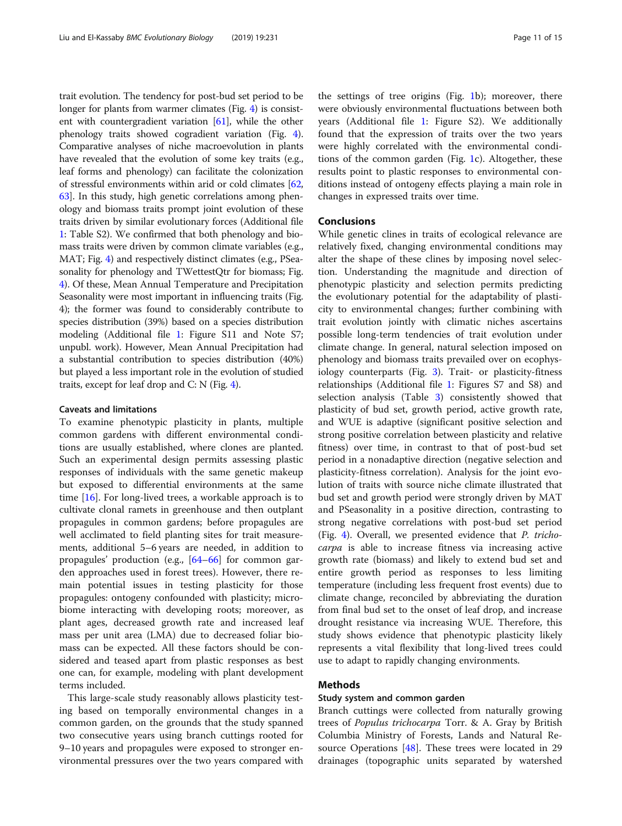trait evolution. The tendency for post-bud set period to be longer for plants from warmer climates (Fig. [4\)](#page-8-0) is consistent with countergradient variation  $[61]$ , while the other phenology traits showed cogradient variation (Fig. [4](#page-8-0)). Comparative analyses of niche macroevolution in plants have revealed that the evolution of some key traits (e.g., leaf forms and phenology) can facilitate the colonization of stressful environments within arid or cold climates [[62](#page-14-0), [63](#page-14-0)]. In this study, high genetic correlations among phenology and biomass traits prompt joint evolution of these traits driven by similar evolutionary forces (Additional file [1:](#page-12-0) Table S2). We confirmed that both phenology and biomass traits were driven by common climate variables (e.g., MAT; Fig. [4\)](#page-8-0) and respectively distinct climates (e.g., PSeasonality for phenology and TWettestQtr for biomass; Fig. [4\)](#page-8-0). Of these, Mean Annual Temperature and Precipitation Seasonality were most important in influencing traits (Fig. 4); the former was found to considerably contribute to species distribution (39%) based on a species distribution modeling (Additional file [1:](#page-12-0) Figure S11 and Note S7; unpubl. work). However, Mean Annual Precipitation had a substantial contribution to species distribution (40%) but played a less important role in the evolution of studied traits, except for leaf drop and  $C: N$  (Fig. [4\)](#page-8-0).

#### Caveats and limitations

To examine phenotypic plasticity in plants, multiple common gardens with different environmental conditions are usually established, where clones are planted. Such an experimental design permits assessing plastic responses of individuals with the same genetic makeup but exposed to differential environments at the same time [\[16](#page-13-0)]. For long-lived trees, a workable approach is to cultivate clonal ramets in greenhouse and then outplant propagules in common gardens; before propagules are well acclimated to field planting sites for trait measurements, additional 5–6 years are needed, in addition to propagules' production (e.g., [[64](#page-14-0)–[66](#page-14-0)] for common garden approaches used in forest trees). However, there remain potential issues in testing plasticity for those propagules: ontogeny confounded with plasticity; microbiome interacting with developing roots; moreover, as plant ages, decreased growth rate and increased leaf mass per unit area (LMA) due to decreased foliar biomass can be expected. All these factors should be considered and teased apart from plastic responses as best one can, for example, modeling with plant development terms included.

This large-scale study reasonably allows plasticity testing based on temporally environmental changes in a common garden, on the grounds that the study spanned two consecutive years using branch cuttings rooted for 9–10 years and propagules were exposed to stronger environmental pressures over the two years compared with

the settings of tree origins (Fig. [1](#page-2-0)b); moreover, there were obviously environmental fluctuations between both years (Additional file [1](#page-12-0): Figure S2). We additionally found that the expression of traits over the two years were highly correlated with the environmental conditions of the common garden (Fig. [1c](#page-2-0)). Altogether, these results point to plastic responses to environmental conditions instead of ontogeny effects playing a main role in changes in expressed traits over time.

## Conclusions

While genetic clines in traits of ecological relevance are relatively fixed, changing environmental conditions may alter the shape of these clines by imposing novel selection. Understanding the magnitude and direction of phenotypic plasticity and selection permits predicting the evolutionary potential for the adaptability of plasticity to environmental changes; further combining with trait evolution jointly with climatic niches ascertains possible long-term tendencies of trait evolution under climate change. In general, natural selection imposed on phenology and biomass traits prevailed over on ecophysiology counterparts (Fig. [3](#page-6-0)). Trait- or plasticity-fitness relationships (Additional file [1:](#page-12-0) Figures S7 and S8) and selection analysis (Table [3\)](#page-7-0) consistently showed that plasticity of bud set, growth period, active growth rate, and WUE is adaptive (significant positive selection and strong positive correlation between plasticity and relative fitness) over time, in contrast to that of post-bud set period in a nonadaptive direction (negative selection and plasticity-fitness correlation). Analysis for the joint evolution of traits with source niche climate illustrated that bud set and growth period were strongly driven by MAT and PSeasonality in a positive direction, contrasting to strong negative correlations with post-bud set period (Fig. [4\)](#page-8-0). Overall, we presented evidence that P. trichocarpa is able to increase fitness via increasing active growth rate (biomass) and likely to extend bud set and entire growth period as responses to less limiting temperature (including less frequent frost events) due to climate change, reconciled by abbreviating the duration from final bud set to the onset of leaf drop, and increase drought resistance via increasing WUE. Therefore, this study shows evidence that phenotypic plasticity likely represents a vital flexibility that long-lived trees could use to adapt to rapidly changing environments.

## Methods

## Study system and common garden

Branch cuttings were collected from naturally growing trees of Populus trichocarpa Torr. & A. Gray by British Columbia Ministry of Forests, Lands and Natural Resource Operations [\[48](#page-14-0)]. These trees were located in 29 drainages (topographic units separated by watershed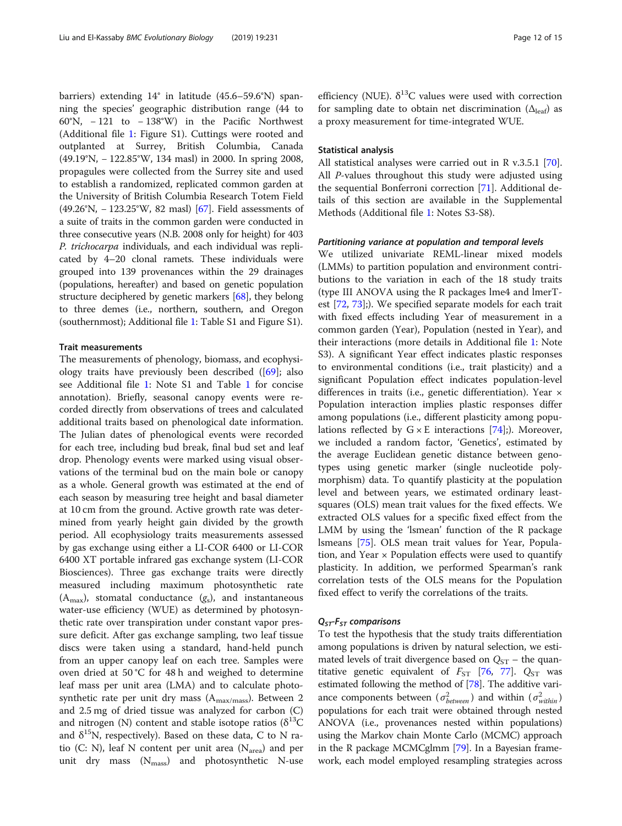barriers) extending 14° in latitude (45.6–59.6°N) spanning the species' geographic distribution range (44 to 60°N, − 121 to − 138°W) in the Pacific Northwest (Additional file [1](#page-12-0): Figure S1). Cuttings were rooted and outplanted at Surrey, British Columbia, Canada (49.19°N, − 122.85°W, 134 masl) in 2000. In spring 2008, propagules were collected from the Surrey site and used to establish a randomized, replicated common garden at the University of British Columbia Research Totem Field (49.26°N, − 123.25°W, 82 masl) [\[67\]](#page-14-0). Field assessments of a suite of traits in the common garden were conducted in three consecutive years (N.B. 2008 only for height) for 403 P. trichocarpa individuals, and each individual was replicated by 4–20 clonal ramets. These individuals were grouped into 139 provenances within the 29 drainages (populations, hereafter) and based on genetic population structure deciphered by genetic markers [[68](#page-14-0)], they belong to three demes (i.e., northern, southern, and Oregon (southernmost); Additional file [1](#page-12-0): Table S1 and Figure S1).

#### Trait measurements

The measurements of phenology, biomass, and ecophysiology traits have previously been described ([\[69](#page-14-0)]; also see Additional file [1:](#page-12-0) Note S1 and Table [1](#page-3-0) for concise annotation). Briefly, seasonal canopy events were recorded directly from observations of trees and calculated additional traits based on phenological date information. The Julian dates of phenological events were recorded for each tree, including bud break, final bud set and leaf drop. Phenology events were marked using visual observations of the terminal bud on the main bole or canopy as a whole. General growth was estimated at the end of each season by measuring tree height and basal diameter at 10 cm from the ground. Active growth rate was determined from yearly height gain divided by the growth period. All ecophysiology traits measurements assessed by gas exchange using either a LI-COR 6400 or LI-COR 6400 XT portable infrared gas exchange system (LI-COR Biosciences). Three gas exchange traits were directly measured including maximum photosynthetic rate  $(A<sub>max</sub>)$ , stomatal conductance  $(g<sub>s</sub>)$ , and instantaneous water-use efficiency (WUE) as determined by photosynthetic rate over transpiration under constant vapor pressure deficit. After gas exchange sampling, two leaf tissue discs were taken using a standard, hand-held punch from an upper canopy leaf on each tree. Samples were oven dried at 50 °C for 48 h and weighed to determine leaf mass per unit area (LMA) and to calculate photosynthetic rate per unit dry mass  $(A<sub>max/max</sub>)$ . Between 2 and 2.5 mg of dried tissue was analyzed for carbon (C) and nitrogen (N) content and stable isotope ratios ( $\delta^{13}C$ and  $\delta^{15}$ N, respectively). Based on these data, C to N ratio (C: N), leaf N content per unit area ( $N_{area}$ ) and per unit dry mass  $(N_{\text{mass}})$  and photosynthetic N-use

efficiency (NUE).  $\delta^{13}C$  values were used with correction for sampling date to obtain net discrimination  $(\Delta_{\text{leaf}})$  as a proxy measurement for time-integrated WUE.

## Statistical analysis

All statistical analyses were carried out in R v.3.5.1 [\[70](#page-14-0)]. All *P*-values throughout this study were adjusted using the sequential Bonferroni correction [[71\]](#page-14-0). Additional details of this section are available in the Supplemental Methods (Additional file [1](#page-12-0): Notes S3-S8).

#### Partitioning variance at population and temporal levels

We utilized univariate REML-linear mixed models (LMMs) to partition population and environment contributions to the variation in each of the 18 study traits (type III ANOVA using the R packages lme4 and lmerTest [\[72](#page-14-0), [73](#page-14-0)];). We specified separate models for each trait with fixed effects including Year of measurement in a common garden (Year), Population (nested in Year), and their interactions (more details in Additional file [1](#page-12-0): Note S3). A significant Year effect indicates plastic responses to environmental conditions (i.e., trait plasticity) and a significant Population effect indicates population-level differences in traits (i.e., genetic differentiation). Year × Population interaction implies plastic responses differ among populations (i.e., different plasticity among populations reflected by  $G \times E$  interactions [[74](#page-14-0)];). Moreover, we included a random factor, 'Genetics', estimated by the average Euclidean genetic distance between genotypes using genetic marker (single nucleotide polymorphism) data. To quantify plasticity at the population level and between years, we estimated ordinary leastsquares (OLS) mean trait values for the fixed effects. We extracted OLS values for a specific fixed effect from the LMM by using the 'lsmean' function of the R package lsmeans [[75\]](#page-14-0). OLS mean trait values for Year, Population, and Year  $\times$  Population effects were used to quantify plasticity. In addition, we performed Spearman's rank correlation tests of the OLS means for the Population fixed effect to verify the correlations of the traits.

## $Q_{ST}$ - $F_{ST}$  comparisons

To test the hypothesis that the study traits differentiation among populations is driven by natural selection, we estimated levels of trait divergence based on  $Q_{ST}$  – the quantitative genetic equivalent of  $F_{ST}$  [[76](#page-14-0), [77](#page-14-0)].  $Q_{ST}$  was estimated following the method of [\[78\]](#page-14-0). The additive variance components between ( $\sigma_{between}^2$ ) and within ( $\sigma_{within}^2$ ) populations for each trait were obtained through nested ANOVA (i.e., provenances nested within populations) using the Markov chain Monte Carlo (MCMC) approach in the R package MCMCglmm [[79](#page-14-0)]. In a Bayesian framework, each model employed resampling strategies across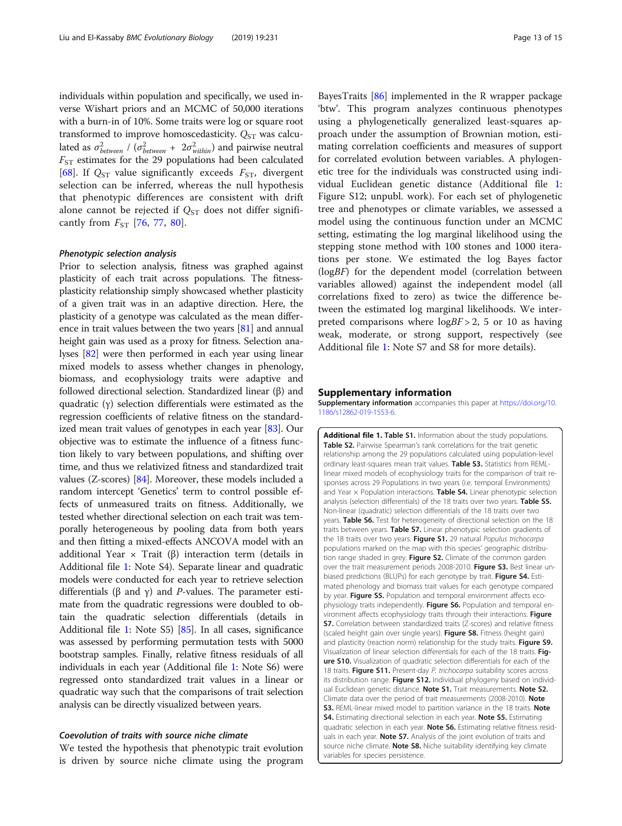<span id="page-12-0"></span>individuals within population and specifically, we used inverse Wishart priors and an MCMC of 50,000 iterations with a burn-in of 10%. Some traits were log or square root transformed to improve homoscedasticity.  $Q_{ST}$  was calculated as  $\sigma_{between}^2$  /  $(\sigma_{between}^2 + 2\sigma_{within}^2)$  and pairwise neutral<br>Equations for the 29 populations had been selected  $F_{ST}$  estimates for the 29 populations had been calculated [[68](#page-14-0)]. If  $Q_{ST}$  value significantly exceeds  $F_{ST}$ , divergent selection can be inferred, whereas the null hypothesis that phenotypic differences are consistent with drift alone cannot be rejected if  $Q_{ST}$  does not differ significantly from  $F_{ST}$  [[76,](#page-14-0) [77](#page-14-0), [80](#page-14-0)].

#### Phenotypic selection analysis

Prior to selection analysis, fitness was graphed against plasticity of each trait across populations. The fitnessplasticity relationship simply showcased whether plasticity of a given trait was in an adaptive direction. Here, the plasticity of a genotype was calculated as the mean difference in trait values between the two years [\[81\]](#page-14-0) and annual height gain was used as a proxy for fitness. Selection analyses [\[82\]](#page-14-0) were then performed in each year using linear mixed models to assess whether changes in phenology, biomass, and ecophysiology traits were adaptive and followed directional selection. Standardized linear (β) and quadratic (γ) selection differentials were estimated as the regression coefficients of relative fitness on the standardized mean trait values of genotypes in each year [\[83\]](#page-14-0). Our objective was to estimate the influence of a fitness function likely to vary between populations, and shifting over time, and thus we relativized fitness and standardized trait values (Z-scores) [[84](#page-14-0)]. Moreover, these models included a random intercept 'Genetics' term to control possible effects of unmeasured traits on fitness. Additionally, we tested whether directional selection on each trait was temporally heterogeneous by pooling data from both years and then fitting a mixed-effects ANCOVA model with an additional Year  $\times$  Trait (β) interaction term (details in Additional file 1: Note S4). Separate linear and quadratic models were conducted for each year to retrieve selection differentials (β and γ) and *P*-values. The parameter estimate from the quadratic regressions were doubled to obtain the quadratic selection differentials (details in Additional file 1: Note S5) [\[85\]](#page-14-0). In all cases, significance was assessed by performing permutation tests with 5000 bootstrap samples. Finally, relative fitness residuals of all individuals in each year (Additional file 1: Note S6) were regressed onto standardized trait values in a linear or quadratic way such that the comparisons of trait selection analysis can be directly visualized between years.

#### Coevolution of traits with source niche climate

We tested the hypothesis that phenotypic trait evolution is driven by source niche climate using the program

BayesTraits [\[86](#page-14-0)] implemented in the R wrapper package 'btw'. This program analyzes continuous phenotypes using a phylogenetically generalized least-squares approach under the assumption of Brownian motion, estimating correlation coefficients and measures of support for correlated evolution between variables. A phylogenetic tree for the individuals was constructed using individual Euclidean genetic distance (Additional file 1: Figure S12; unpubl. work). For each set of phylogenetic tree and phenotypes or climate variables, we assessed a model using the continuous function under an MCMC setting, estimating the log marginal likelihood using the stepping stone method with 100 stones and 1000 iterations per stone. We estimated the log Bayes factor (logBF) for the dependent model (correlation between variables allowed) against the independent model (all correlations fixed to zero) as twice the difference between the estimated log marginal likelihoods. We interpreted comparisons where  $logBF > 2$ , 5 or 10 as having weak, moderate, or strong support, respectively (see Additional file 1: Note S7 and S8 for more details).

#### Supplementary information

Supplementary information accompanies this paper at [https://doi.org/10.](https://doi.org/10.1186/s12862-019-1553-6) [1186/s12862-019-1553-6.](https://doi.org/10.1186/s12862-019-1553-6)

Additional file 1. Table S1. Information about the study populations. Table S2. Pairwise Spearman's rank correlations for the trait genetic relationship among the 29 populations calculated using population-level ordinary least-squares mean trait values. Table S3. Statistics from REMLlinear mixed models of ecophysiology traits for the comparison of trait responses across 29 Populations in two years (i.e. temporal Environments) and Year  $\times$  Population interactions. Table S4. Linear phenotypic selection analysis (selection differentials) of the 18 traits over two years. Table S5. Non-linear (quadratic) selection differentials of the 18 traits over two years. Table S6. Test for heterogeneity of directional selection on the 18 traits between years. Table S7. Linear phenotypic selection gradients of the 18 traits over two years. Figure S1. 29 natural Populus trichocarpa populations marked on the map with this species' geographic distribution range shaded in grey. Figure S2. Climate of the common garden over the trait measurement periods 2008-2010. Figure S3. Best linear unbiased predictions (BLUPs) for each genotype by trait. Figure S4. Estimated phenology and biomass trait values for each genotype compared by year. Figure S5. Population and temporal environment affects ecophysiology traits independently. Figure S6. Population and temporal environment affects ecophysiology traits through their interactions. Figure S7. Correlation between standardized traits (Z-scores) and relative fitness (scaled height gain over single years). Figure S8. Fitness (height gain) and plasticity (reaction norm) relationship for the study traits. Figure S9. Visualization of linear selection differentials for each of the 18 traits. Figure S10. Visualization of quadratic selection differentials for each of the 18 traits. Figure S11. Present-day P. trichocarpa suitability scores across its distribution range. Figure S12. Individual phylogeny based on individual Euclidean genetic distance. Note S1. Trait measurements. Note S2. Climate data over the period of trait measurements (2008-2010). Note S3. REML-linear mixed model to partition variance in the 18 traits. Note S4. Estimating directional selection in each year. Note S5. Estimating quadratic selection in each year. Note S6. Estimating relative fitness residuals in each year. Note S7. Analysis of the joint evolution of traits and source niche climate. Note S8. Niche suitability identifying key climate variables for species persistence.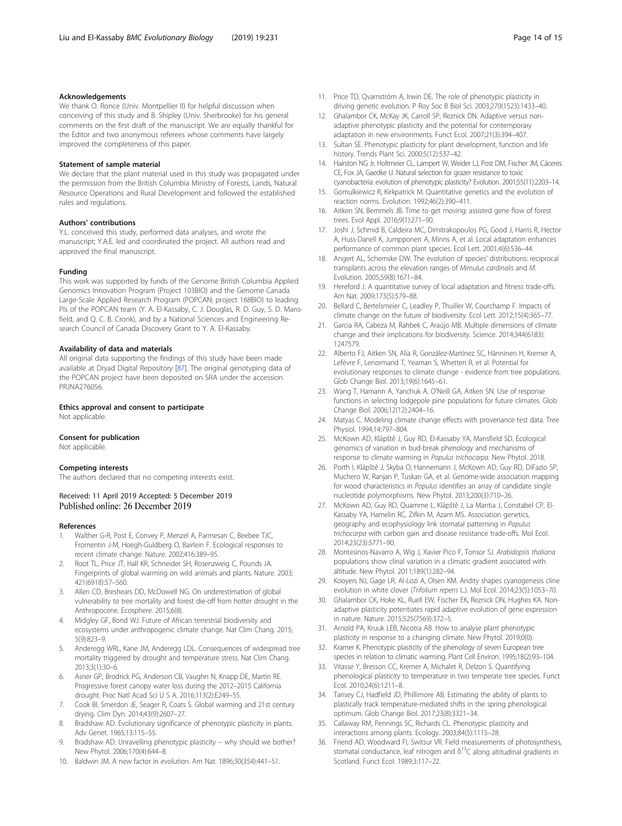#### <span id="page-13-0"></span>Acknowledgements

We thank O. Ronce (Univ. Montpellier II) for helpful discussion when conceiving of this study and B. Shipley (Univ. Sherbrooke) for his general comments on the first draft of the manuscript. We are equally thankful for the Editor and two anonymous referees whose comments have largely improved the completeness of this paper.

#### Statement of sample material

We declare that the plant material used in this study was propagated under the permission from the British Columbia Ministry of Forests, Lands, Natural Resource Operations and Rural Development and followed the established rules and regulations.

#### Authors' contributions

Y.L. conceived this study, performed data analyses, and wrote the manuscript; Y.A.E. led and coordinated the project. All authors read and approved the final manuscript.

#### Funding

This work was supported by funds of the Genome British Columbia Applied Genomics Innovation Program (Project 103BIO) and the Genome Canada Large-Scale Applied Research Program (POPCAN; project 168BIO) to leading PIs of the POPCAN team (Y. A. El-Kassaby, C. J. Douglas, R. D. Guy, S. D. Mansfield, and Q. C. B. Cronk), and by a National Sciences and Engineering Research Council of Canada Discovery Grant to Y. A. El-Kassaby.

#### Availability of data and materials

All original data supporting the findings of this study have been made available at Dryad Digital Repository [[87\]](#page-14-0). The original genotyping data of the POPCAN project have been deposited on SRA under the accession PRJNA276056.

#### Ethics approval and consent to participate

Not applicable.

#### Consent for publication

Not applicable.

#### Competing interests

The authors declared that no competing interests exist.

#### Received: 11 April 2019 Accepted: 5 December 2019 Published online: 26 December 2019

#### References

- 1. Walther G-R, Post E, Convey P, Menzel A, Parmesan C, Beebee TJC, Fromentin J-M, Hoegh-Guldberg O, Bairlein F. Ecological responses to recent climate change. Nature. 2002;416:389–95.
- 2. Root TL, Price JT, Hall KR, Schneider SH, Rosenzweig C, Pounds JA. Fingerprints of global warming on wild animals and plants. Nature. 2003; 421(6918):57–560.
- 3. Allen CD, Breshears DD, McDowell NG. On underestimation of global vulnerability to tree mortality and forest die-off from hotter drought in the Anthropocene. Ecosphere. 2015;6(8).
- 4. Midgley GF, Bond WJ. Future of African terrestrial biodiversity and ecosystems under anthropogenic climate change. Nat Clim Chang. 2015; 5(9):823–9.
- 5. Anderegg WRL, Kane JM, Anderegg LDL. Consequences of widespread tree mortality triggered by drought and temperature stress. Nat Clim Chang. 2013;3(1):30–6.
- 6. Asner GP, Brodrick PG, Anderson CB, Vaughn N, Knapp DE, Martin RE. Progressive forest canopy water loss during the 2012–2015 California drought. Proc Natl Acad Sci U S A. 2016;113(2):E249–55.
- 7. Cook BI, Smerdon JE, Seager R, Coats S. Global warming and 21st century drying. Clim Dyn. 2014;43(9):2607–27.
- Bradshaw AD. Evolutionary significance of phenotypic plasticity in plants. Adv Genet. 1965;13:115–55.
- Bradshaw AD. Unravelling phenotypic plasticity -- why should we bother? New Phytol. 2006;170(4):644–8.
- 10. Baldwin JM. A new factor in evolution. Am Nat. 1896;30(354):441–51.
- 11. Price TD, Qvarnström A, Irwin DE. The role of phenotypic plasticity in driving genetic evolution. P Roy Soc B Biol Sci. 2003;270(1523):1433–40.
- 12. Ghalambor CK, McKay JK, Carroll SP, Reznick DN. Adaptive versus nonadaptive phenotypic plasticity and the potential for contemporary adaptation in new environments. Funct Ecol. 2007;21(3):394–407.
- 13. Sultan SE. Phenotypic plasticity for plant development, function and life history. Trends Plant Sci. 2000;5(12):537–42.
- 14. Hairston NG Jr, Holtmeier CL, Lampert W, Weider LJ, Post DM, Fischer JM, Cáceres CE, Fox JA, Gaedke U. Natural selection for grazer resistance to toxic cyanobacteria: evolution of phenotypic plasticity? Evolution. 2001;55(11):2203–14.
- 15. Gomulkiewicz R, Kirkpatrick M. Quantitative genetics and the evolution of reaction norms. Evolution. 1992;46(2):390–411.
- 16. Aitken SN, Bemmels JB. Time to get moving: assisted gene flow of forest trees. Evol Appl. 2016;9(1):271–90.
- 17. Joshi J, Schmid B, Caldeira MC, Dimitrakopoulos PG, Good J, Harris R, Hector A, Huss-Danell K, Jumpponen A, Minns A, et al. Local adaptation enhances performance of common plant species. Ecol Lett. 2001;4(6):536–44.
- 18. Angert AL, Schemske DW. The evolution of species' distributions: reciprocal transplants across the elevation ranges of Mimulus cardinalis and M. Evolution. 2005;59(8):1671–84.
- 19. Hereford J. A quantitative survey of local adaptation and fitness trade-offs. Am Nat. 2009;173(5):579–88.
- 20. Bellard C, Bertelsmeier C, Leadley P, Thuiller W, Courchamp F. Impacts of climate change on the future of biodiversity. Ecol Lett. 2012;15(4):365–77.
- 21. Garcia RA, Cabeza M, Rahbek C, Araújo MB. Multiple dimensions of climate change and their implications for biodiversity. Science. 2014;344(6183): 1247579.
- 22. Alberto FJ, Aitken SN, Alía R, González-Martínez SC, Hänninen H, Kremer A, Lefèvre F, Lenormand T, Yeaman S, Whetten R, et al. Potential for evolutionary responses to climate change - evidence from tree populations. Glob Change Biol. 2013;19(6):1645–61.
- 23. Wang T, Hamann A, Yanchuk A, O'Neill GA, Aitken SN. Use of response functions in selecting lodgepole pine populations for future climates. Glob Change Biol. 2006;12(12):2404–16.
- 24. Matyas C. Modeling climate change effects with provenance test data. Tree Physiol. 1994;14:797–804.
- 25. McKown AD, Klápště J, Guy RD, El-Kassaby YA, Mansfield SD. Ecological genomics of variation in bud-break phenology and mechanisms of response to climate warming in Populus trichocarpa. New Phytol. 2018.
- 26. Porth I, Klápště J, Skyba O, Hannemann J, McKown AD, Guy RD, DiFazio SP, Muchero W, Ranjan P, Tuskan GA, et al. Genome-wide association mapping for wood characteristics in Populus identifies an array of candidate single nucleotide polymorphisms. New Phytol. 2013;200(3):710–26.
- 27. McKown AD, Guy RD, Quamme L, Klápště J, La Mantia J, Constabel CP, El-Kassaby YA, Hamelin RC, Zifkin M, Azam MS. Association genetics, geography and ecophysiology link stomatal patterning in Populus trichocarpa with carbon gain and disease resistance trade-offs. Mol Ecol. 2014;23(23):5771–90.
- 28. Montesinos-Navarro A, Wig J, Xavier Pico F, Tonsor SJ. Arabidopsis thaliana populations show clinal variation in a climatic gradient associated with altitude. New Phytol. 2011;189(1):282–94.
- 29. Kooyers NJ, Gage LR, Al-Lozi A, Olsen KM. Aridity shapes cyanogenesis cline evolution in white clover (Trifolium repens L.). Mol Ecol. 2014;23(5):1053–70.
- 30. Ghalambor CK, Hoke KL, Ruell EW, Fischer EK, Reznick DN, Hughes KA. Nonadaptive plasticity potentiates rapid adaptive evolution of gene expression in nature. Nature. 2015;525(7569):372–5.
- 31. Arnold PA, Kruuk LEB, Nicotra AB. How to analyse plant phenotypic plasticity in response to a changing climate. New Phytol. 2019;0(0).
- 32. Kramer K. Phenotypic plasticity of the phenology of seven European tree species in relation to climatic warming. Plant Cell Environ. 1995;18(2):93–104.
- 33. Vitasse Y, Bresson CC, Kremer A, Michalet R, Delzon S. Quantifying phenological plasticity to temperature in two temperate tree species. Funct Ecol. 2010;24(6):1211–8.
- 34. Tansey CJ, Hadfield JD, Phillimore AB. Estimating the ability of plants to plastically track temperature-mediated shifts in the spring phenological optimum. Glob Change Biol. 2017;23(8):3321–34.
- 35. Callaway RM, Pennings SC, Richards CL. Phenotypic plasticity and interactions among plants. Ecology. 2003;84(5):1115–28.
- 36. Friend AD, Woodward FI, Switsur VR. Field measurements of photosynthesis, stomatal conductance, leaf nitrogen and  $\delta^{13}$ C along altitudinal gradients in Scotland. Funct Ecol. 1989;3:117–22.